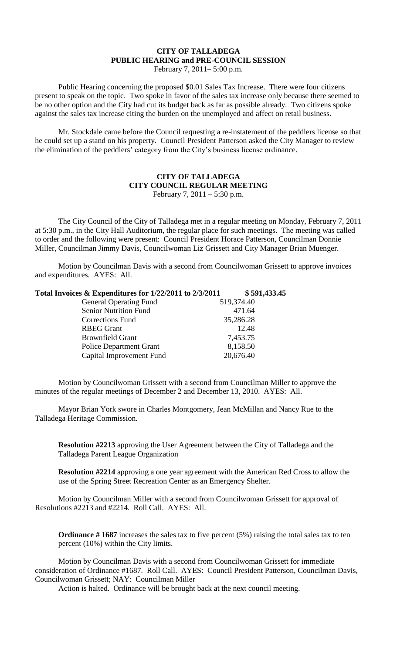## **CITY OF TALLADEGA PUBLIC HEARING and PRE-COUNCIL SESSION**

February 7, 2011– 5:00 p.m.

Public Hearing concerning the proposed \$0.01 Sales Tax Increase. There were four citizens present to speak on the topic. Two spoke in favor of the sales tax increase only because there seemed to be no other option and the City had cut its budget back as far as possible already. Two citizens spoke against the sales tax increase citing the burden on the unemployed and affect on retail business.

Mr. Stockdale came before the Council requesting a re-instatement of the peddlers license so that he could set up a stand on his property. Council President Patterson asked the City Manager to review the elimination of the peddlers' category from the City's business license ordinance.

## **CITY OF TALLADEGA CITY COUNCIL REGULAR MEETING** February 7, 2011 – 5:30 p.m.

The City Council of the City of Talladega met in a regular meeting on Monday, February 7, 2011 at 5:30 p.m., in the City Hall Auditorium, the regular place for such meetings. The meeting was called to order and the following were present: Council President Horace Patterson, Councilman Donnie Miller, Councilman Jimmy Davis, Councilwoman Liz Grissett and City Manager Brian Muenger.

Motion by Councilman Davis with a second from Councilwoman Grissett to approve invoices and expenditures. AYES: All.

| Total Invoices & Expenditures for 1/22/2011 to 2/3/2011 | \$591,433.45 |
|---------------------------------------------------------|--------------|
| <b>General Operating Fund</b>                           | 519,374.40   |
| <b>Senior Nutrition Fund</b>                            | 471.64       |
| <b>Corrections Fund</b>                                 | 35,286.28    |
| <b>RBEG</b> Grant                                       | 12.48        |
| <b>Brownfield Grant</b>                                 | 7,453.75     |
| <b>Police Department Grant</b>                          | 8,158.50     |
| Capital Improvement Fund                                | 20,676.40    |

Motion by Councilwoman Grissett with a second from Councilman Miller to approve the minutes of the regular meetings of December 2 and December 13, 2010. AYES: All.

Mayor Brian York swore in Charles Montgomery, Jean McMillan and Nancy Rue to the Talladega Heritage Commission.

**Resolution #2213** approving the User Agreement between the City of Talladega and the Talladega Parent League Organization

**Resolution #2214** approving a one year agreement with the American Red Cross to allow the use of the Spring Street Recreation Center as an Emergency Shelter.

Motion by Councilman Miller with a second from Councilwoman Grissett for approval of Resolutions #2213 and #2214. Roll Call. AYES: All.

**Ordinance # 1687** increases the sales tax to five percent (5%) raising the total sales tax to ten percent (10%) within the City limits.

Motion by Councilman Davis with a second from Councilwoman Grissett for immediate consideration of Ordinance #1687. Roll Call. AYES: Council President Patterson, Councilman Davis, Councilwoman Grissett; NAY: Councilman Miller

Action is halted. Ordinance will be brought back at the next council meeting.